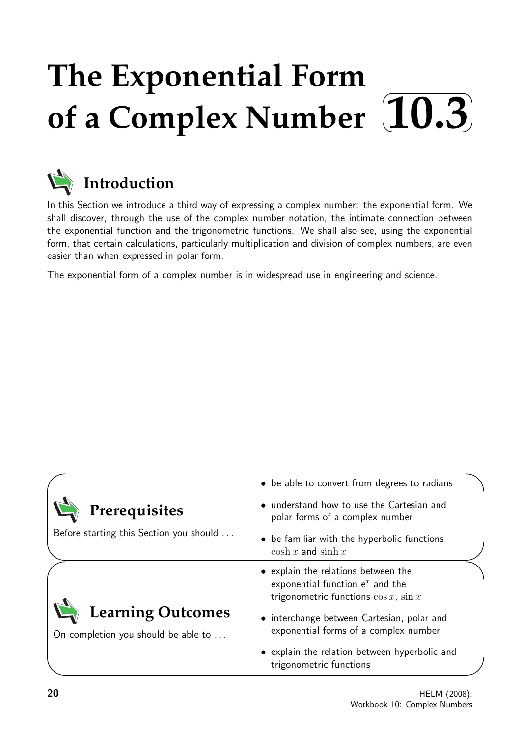# **The Exponential Form** of a Complex Number  $10.3$  $\sqrt{2}$ ✏



# **Introduction**

In this Section we introduce a third way of expressing a complex number: the exponential form. We shall discover, through the use of the complex number notation, the intimate connection between the exponential function and the trigonometric functions. We shall also see, using the exponential form, that certain calculations, particularly multiplication and division of complex numbers, are even easier than when expressed in polar form.

The exponential form of a complex number is in widespread use in engineering and science.

|                                                                 | • be able to convert from degrees to radians                                                                             |
|-----------------------------------------------------------------|--------------------------------------------------------------------------------------------------------------------------|
| Prerequisites                                                   | • understand how to use the Cartesian and<br>polar forms of a complex number                                             |
| Before starting this Section you should                         | • be familiar with the hyperbolic functions<br>$\cosh x$ and $\sinh x$                                                   |
|                                                                 | • explain the relations between the<br>exponential function $e^x$ and the<br>trigonometric functions $\cos x$ , $\sin x$ |
| <b>Learning Outcomes</b><br>On completion you should be able to | • interchange between Cartesian, polar and<br>exponential forms of a complex number                                      |
|                                                                 | • explain the relation between hyperbolic and<br>trigonometric functions                                                 |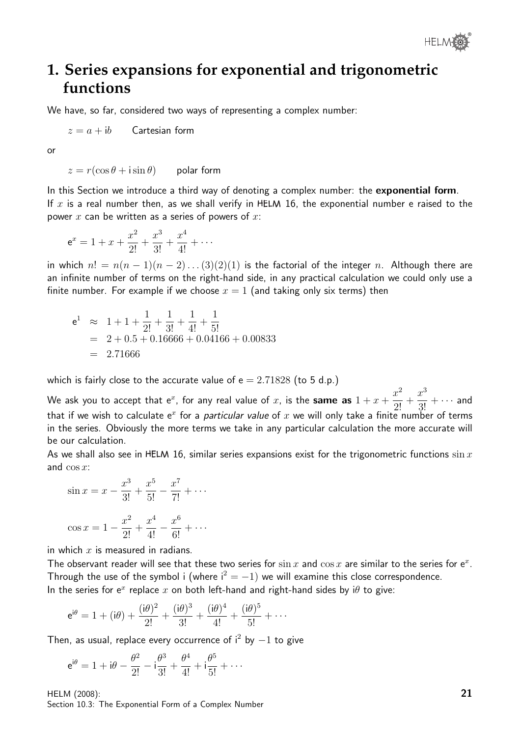

## **1. Series expansions for exponential and trigonometric functions**

We have, so far, considered two ways of representing a complex number:

 $z = a + ib$  Cartesian form

or

 $z = r(\cos \theta + i \sin \theta)$  polar form

In this Section we introduce a third way of denoting a complex number: the exponential form. If x is a real number then, as we shall verify in  $HELM$  16, the exponential number e raised to the power  $x$  can be written as a series of powers of  $x$ :

$$
e^x = 1 + x + \frac{x^2}{2!} + \frac{x^3}{3!} + \frac{x^4}{4!} + \cdots
$$

in which  $n! = n(n-1)(n-2)...(3)(2)(1)$  is the factorial of the integer n. Although there are an infinite number of terms on the right-hand side, in any practical calculation we could only use a finite number. For example if we choose  $x = 1$  (and taking only six terms) then

$$
e1 \approx 1 + 1 + \frac{1}{2!} + \frac{1}{3!} + \frac{1}{4!} + \frac{1}{5!}
$$
  
= 2 + 0.5 + 0.16666 + 0.04166 + 0.00833  
= 2.71666

which is fairly close to the accurate value of  $e = 2.71828$  (to 5 d.p.)

We ask you to accept that  $e^x$ , for any real value of  $x$ , is the same as  $1 + x +$  $x^2$  $\frac{1}{2!}$  +  $x^3$  $\frac{x}{3!} + \cdots$  and that if we wish to calculate  $e^x$  for a *particular value* of  $x$  we will only take a finite number of terms in the series. Obviously the more terms we take in any particular calculation the more accurate will be our calculation.

As we shall also see in HELM 16, similar series expansions exist for the trigonometric functions  $\sin x$ and  $\cos x$ :

$$
\sin x = x - \frac{x^3}{3!} + \frac{x^5}{5!} - \frac{x^7}{7!} + \cdots
$$

$$
\cos x = 1 - \frac{x^2}{2!} + \frac{x^4}{4!} - \frac{x^6}{6!} + \cdots
$$

in which  $x$  is measured in radians.

The observant reader will see that these two series for  $\sin x$  and  $\cos x$  are similar to the series for  $e^x$ . Through the use of the symbol i (where  $i^2 = -1$ ) we will examine this close correspondence. In the series for  $e^x$  replace  $x$  on both left-hand and right-hand sides by i $\theta$  to give:

$$
e^{i\theta} = 1 + (i\theta) + \frac{(i\theta)^2}{2!} + \frac{(i\theta)^3}{3!} + \frac{(i\theta)^4}{4!} + \frac{(i\theta)^5}{5!} + \cdots
$$

Then, as usual, replace every occurrence of  $i^2$  by  $-1$  to give

$$
e^{i\theta} = 1 + i\theta - \frac{\theta^2}{2!} - i\frac{\theta^3}{3!} + \frac{\theta^4}{4!} + i\frac{\theta^5}{5!} + \cdots
$$

HELM (2008): Section 10.3: The Exponential Form of a Complex Number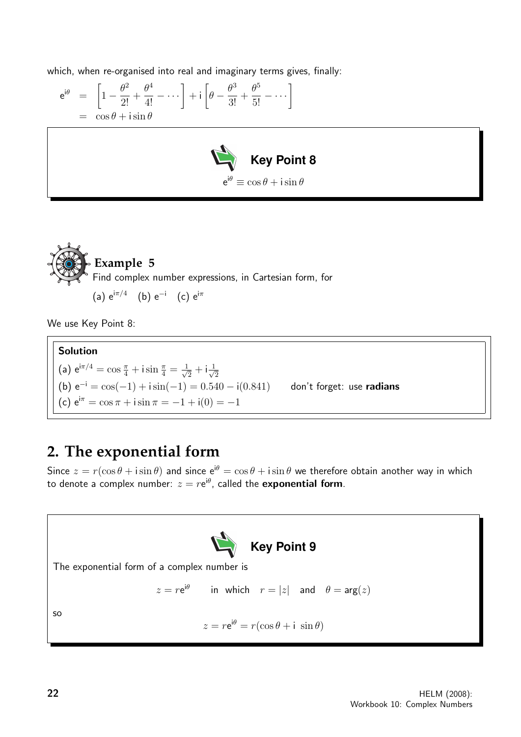which, when re-organised into real and imaginary terms gives, finally:

$$
e^{i\theta} = \left[1 - \frac{\theta^2}{2!} + \frac{\theta^4}{4!} - \dots\right] + i\left[\theta - \frac{\theta^3}{3!} + \frac{\theta^5}{5!} - \dots\right]
$$
  
=  $\cos\theta + i\sin\theta$ 





We use Key Point 8:

## Solution (a)  $e^{i\pi/4} = \cos{\frac{\pi}{4}} + i \sin{\frac{\pi}{4}} = \frac{1}{\sqrt{4}}$  $\frac{1}{2} + i \frac{1}{\sqrt{2}}$ 2 (b)  $e^{-i} = cos(-1) + i sin(-1) = 0.540 - i(0.841)$  don't forget: use radians (c)  $e^{i\pi} = \cos \pi + i \sin \pi = -1 + i(0) = -1$

## **2. The exponential form**

Since  $z = r(\cos \theta + i \sin \theta)$  and since  $e^{i\theta} = \cos \theta + i \sin \theta$  we therefore obtain another way in which to denote a complex number:  $z=r\mathrm{e}^{\mathrm{i}\theta}.$  called the  $\mathsf{exponential\ form}.$ 

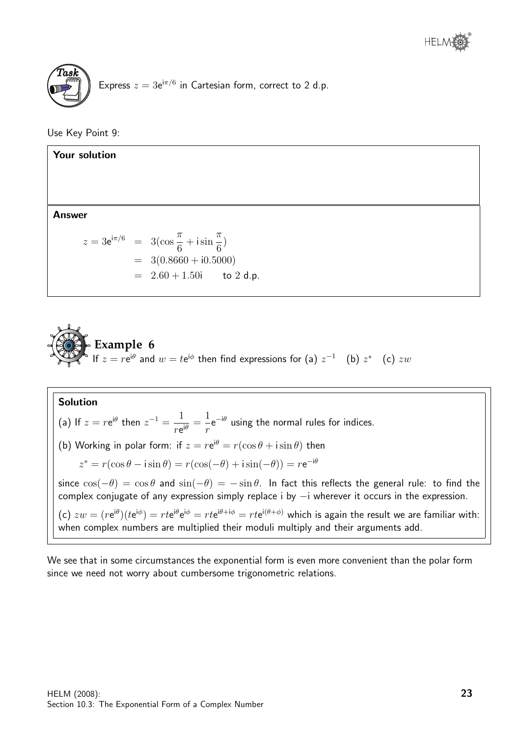

Use Key Point 9:

Your solution Answer  $z = 3e^{i\pi/6} = 3(\cos{\frac{\pi}{6}})$ 6  $+$  i sin  $\pi$ 6 )  $= 3(0.8660 + i0.5000)$  $= 2.60 + 1.50$ i to 2 d.p.



Solution (a) If  $z = r e^{i\theta}$  then  $z^{-1} = \frac{1}{\sqrt{2\pi}}$  $\frac{1}{re^{i\theta}} =$ 1 r  $e^{-i\theta}$  using the normal rules for indices. (b) Working in polar form: if  $z = r e^{i\theta} = r(\cos \theta + i \sin \theta)$  then  $z^* = r(\cos\theta - i\sin\theta) = r(\cos(-\theta) + i\sin(-\theta)) = r e^{-i\theta}$ since  $\cos(-\theta) = \cos \theta$  and  $\sin(-\theta) = -\sin \theta$ . In fact this reflects the general rule: to find the complex conjugate of any expression simply replace i by  $-i$  wherever it occurs in the expression. (c)  $zw = (r e^{i\theta})(t e^{i\phi}) = r t e^{i\theta} e^{i\phi} = r t e^{i\theta + i\phi} = r t e^{i(\theta + \phi)}$  which is again the result we are familiar with: when complex numbers are multiplied their moduli multiply and their arguments add.

We see that in some circumstances the exponential form is even more convenient than the polar form since we need not worry about cumbersome trigonometric relations.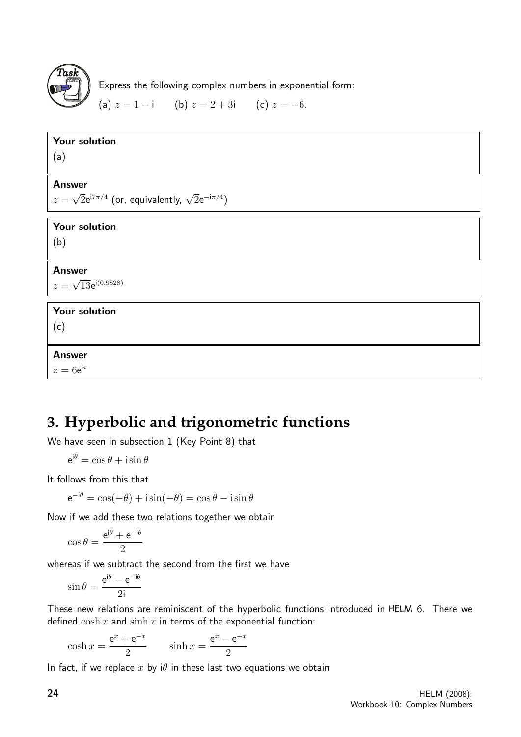

Express the following complex numbers in exponential form:

(a)  $z = 1 - i$  (b)  $z = 2 + 3i$  (c)  $z = -6$ .

| Your solution                                                        |
|----------------------------------------------------------------------|
| (a)                                                                  |
|                                                                      |
| <b>Answer</b>                                                        |
| $z = \sqrt{2}e^{i7\pi/4}$ (or, equivalently, $\sqrt{2}e^{-i\pi/4}$ ) |
| Your solution                                                        |
| (b)                                                                  |
|                                                                      |
| <b>Answer</b>                                                        |
| $z = \sqrt{13}e^{i(0.9828)}$                                         |
| Your solution                                                        |
| (c)                                                                  |
|                                                                      |
| <b>Answer</b>                                                        |
| $z=6e^{i\pi}$                                                        |

## **3. Hyperbolic and trigonometric functions**

We have seen in subsection 1 (Key Point 8) that

 $e^{i\theta} = \cos \theta + i \sin \theta$ 

It follows from this that

$$
e^{-i\theta} = \cos(-\theta) + i\sin(-\theta) = \cos\theta - i\sin\theta
$$

Now if we add these two relations together we obtain

$$
\cos\theta = \frac{\mathrm{e}^{\mathrm{i}\theta} + \mathrm{e}^{-\mathrm{i}\theta}}{2}
$$

whereas if we subtract the second from the first we have

$$
\sin \theta = \frac{e^{i\theta} - e^{-i\theta}}{2i}
$$

These new relations are reminiscent of the hyperbolic functions introduced in HELM 6. There we defined  $\cosh x$  and  $\sinh x$  in terms of the exponential function:

$$
\cosh x = \frac{e^x + e^{-x}}{2} \qquad \sinh x = \frac{e^x - e^{-x}}{2}
$$

In fact, if we replace x by  $i\theta$  in these last two equations we obtain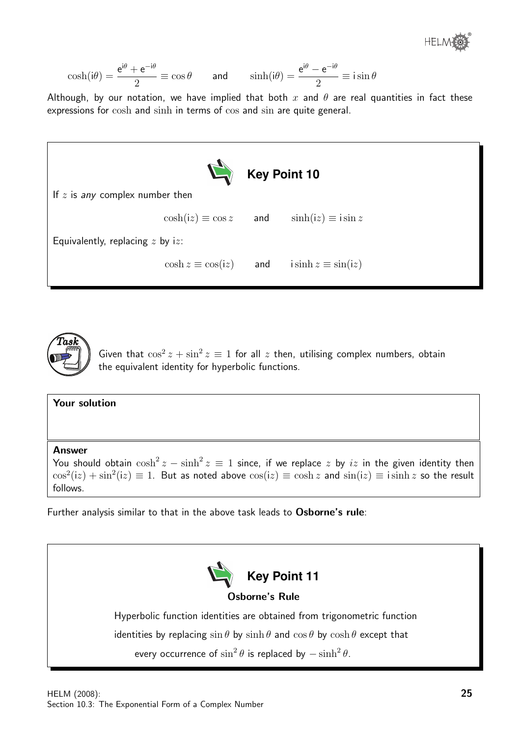®

$$
\cosh(i\theta) = \frac{e^{i\theta} + e^{-i\theta}}{2} \equiv \cos\theta \qquad \text{and} \qquad \sinh(i\theta) = \frac{e^{i\theta} - e^{-i\theta}}{2} \equiv i\sin\theta
$$

Although, by our notation, we have implied that both x and  $\theta$  are real quantities in fact these expressions for cosh and sinh in terms of cos and sin are quite general.





Given that  $\cos^2 z + \sin^2 z \equiv 1$  for all z then, utilising complex numbers, obtain the equivalent identity for hyperbolic functions.

### Your solution

Answer

You should obtain  $\cosh^2 z - \sinh^2 z \equiv 1$  since, if we replace  $z$  by  $iz$  in the given identity then  $\cos^2(iz) + \sin^2(iz) \equiv 1$ . But as noted above  $\cos(iz) \equiv \cosh z$  and  $\sin(iz) \equiv i \sinh z$  so the result follows.

Further analysis similar to that in the above task leads to Osborne's rule:

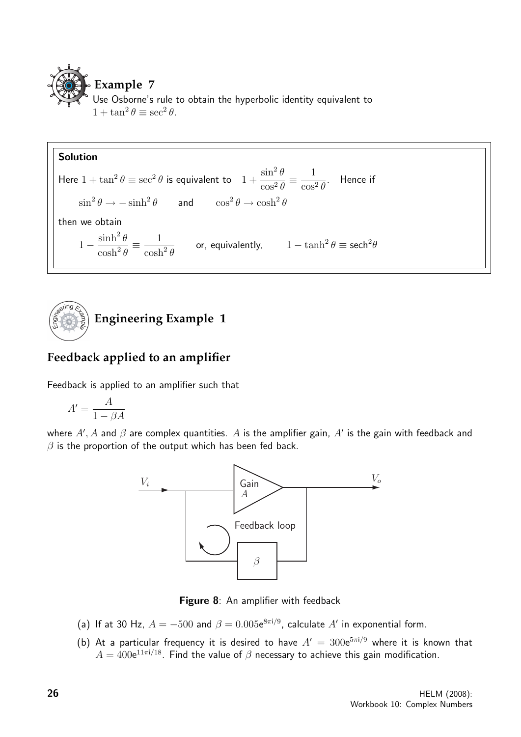

#### Solution Here  $1 + \tan^2 \theta \equiv \sec^2 \theta$  is equivalent to  $1 +$  $\sin^2\theta$  $\cos^2\theta$  $\equiv \frac{1}{\sqrt{2}}$  $\cos^2\theta$ . Hence if  $\sin^2 \theta \to -\sinh^2 \theta$  and  $\cos^2 \theta \to \cosh^2 \theta$ then we obtain 1 −  $\sinh^2\theta$  $\cosh^2\theta$  $\equiv -\frac{1}{1}$  $\cosh^2\theta$ or, equivalently,  $1-\tanh^2\theta\equiv \text{sech}^2\theta$



## **Feedback applied to an amplifier**

Feedback is applied to an amplifier such that

$$
A' = \frac{A}{1 - \beta A}
$$

where  $A', A$  and  $\beta$  are complex quantities.  $A$  is the amplifier gain,  $A'$  is the gain with feedback and  $\beta$  is the proportion of the output which has been fed back.



Figure 8: An amplifier with feedback

- (a) If at 30 Hz,  $A = -500$  and  $\beta = 0.005e^{8\pi i/9}$ , calculate  $A'$  in exponential form.
- (b) At a particular frequency it is desired to have  $A' = 300e^{5\pi i/9}$  where it is known that  $A=400$ e $^{11\pi i/18}.$  Find the value of  $\beta$  necessary to achieve this gain modification.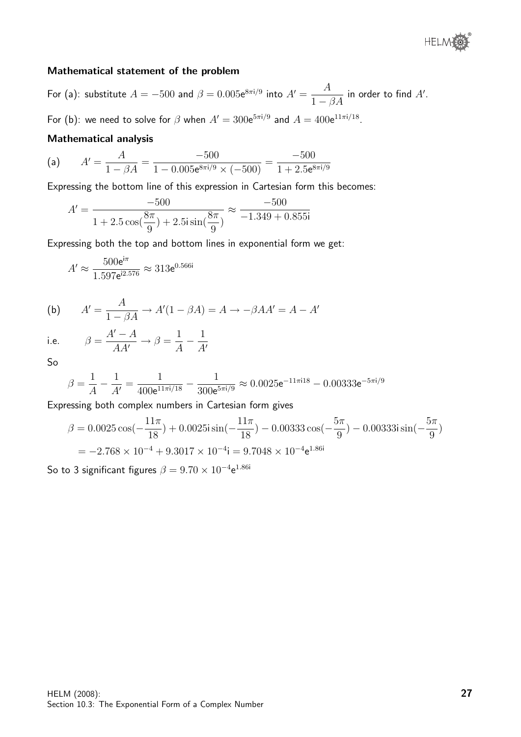

### Mathematical statement of the problem

For (a): substitute  $A=-500$  and  $\beta=0.005{\rm e}^{8\pi{\rm i}/9}$  into  $A'=\dfrac{A}{1-\beta A}$  in order to find  $A'.$ 

For (b): we need to solve for  $\beta$  when  $A' = 300e^{5\pi i/9}$  and  $A = 400e^{11\pi i/18}$ .

### Mathematical analysis

(a) 
$$
A' = \frac{A}{1 - \beta A} = \frac{-500}{1 - 0.005e^{8\pi i/9} \times (-500)} = \frac{-500}{1 + 2.5e^{8\pi i/9}}
$$

Expressing the bottom line of this expression in Cartesian form this becomes:

$$
A' = \frac{-500}{1 + 2.5\cos(\frac{8\pi}{9}) + 2.5i\sin(\frac{8\pi}{9})} \approx \frac{-500}{-1.349 + 0.855i}
$$

Expressing both the top and bottom lines in exponential form we get:

$$
A' \approx \frac{500e^{i\pi}}{1.597e^{i2.576}} \approx 313e^{0.566i}
$$

(b) 
$$
A' = \frac{A}{1 - \beta A} \rightarrow A'(1 - \beta A) = A \rightarrow -\beta A A' = A - A'
$$

i.e. 
$$
\beta = \frac{A' - A}{AA'} \rightarrow \beta = \frac{1}{A} - \frac{1}{A'}
$$

So

$$
\beta = \frac{1}{A} - \frac{1}{A'} = \frac{1}{400e^{11\pi i/18}} - \frac{1}{300e^{5\pi i/9}} \approx 0.0025e^{-11\pi i18} - 0.00333e^{-5\pi i/9}
$$

Expressing both complex numbers in Cartesian form gives

$$
\beta = 0.0025 \cos(-\frac{11\pi}{18}) + 0.0025i \sin(-\frac{11\pi}{18}) - 0.00333 \cos(-\frac{5\pi}{9}) - 0.00333i \sin(-\frac{5\pi}{9})
$$
  
= -2.768 × 10<sup>-4</sup> + 9.3017 × 10<sup>-4</sup>i = 9.7048 × 10<sup>-4</sup>e<sup>1.86i</sup>

So to 3 significant figures  $\beta = 9.70 \times 10^{-4}$ e $^{1.86i}$